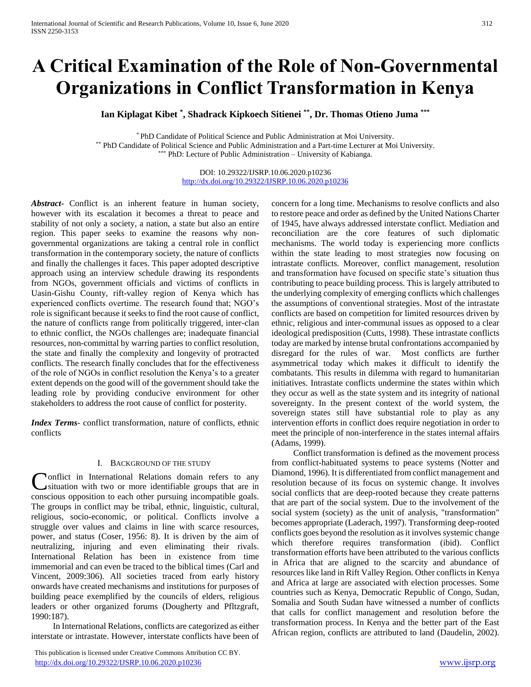# **A Critical Examination of the Role of Non-Governmental Organizations in Conflict Transformation in Kenya**

**Ian Kiplagat Kibet \* , Shadrack Kipkoech Sitienei \*\* , Dr. Thomas Otieno Juma \*\*\***

\* PhD Candidate of Political Science and Public Administration at Moi University. \*\* PhD Candidate of Political Science and Public Administration and a Part-time Lecturer at Moi University. \*\*\* PhD: Lecture of Public Administration – University of Kabianga.

> DOI: 10.29322/IJSRP.10.06.2020.p10236 <http://dx.doi.org/10.29322/IJSRP.10.06.2020.p10236>

*Abstract***-** Conflict is an inherent feature in human society, however with its escalation it becomes a threat to peace and stability of not only a society, a nation, a state but also an entire region. This paper seeks to examine the reasons why nongovernmental organizations are taking a central role in conflict transformation in the contemporary society, the nature of conflicts and finally the challenges it faces. This paper adopted descriptive approach using an interview schedule drawing its respondents from NGOs, government officials and victims of conflicts in Uasin-Gishu County, rift-valley region of Kenya which has experienced conflicts overtime. The research found that; NGO's role is significant because it seeks to find the root cause of conflict, the nature of conflicts range from politically triggered, inter-clan to ethnic conflict, the NGOs challenges are; inadequate financial resources, non-committal by warring parties to conflict resolution, the state and finally the complexity and longevity of protracted conflicts. The research finally concludes that for the effectiveness of the role of NGOs in conflict resolution the Kenya's to a greater extent depends on the good will of the government should take the leading role by providing conducive environment for other stakeholders to address the root cause of conflict for posterity.

*Index Terms*- conflict transformation, nature of conflicts, ethnic conflicts

### I. BACKGROUND OF THE STUDY

**Nonflict** in International Relations domain refers to any Conflict in International Relations domain refers to any situation with two or more identifiable groups that are in conscious opposition to each other pursuing incompatible goals. The groups in conflict may be tribal, ethnic, linguistic, cultural, religious, socio-economic, or political. Conflicts involve a struggle over values and claims in line with scarce resources, power, and status (Coser, 1956: 8). It is driven by the aim of neutralizing, injuring and even eliminating their rivals. International Relation has been in existence from time immemorial and can even be traced to the biblical times (Carl and Vincent, 2009:306). All societies traced from early history onwards have created mechanisms and institutions for purposes of building peace exemplified by the councils of elders, religious leaders or other organized forums (Dougherty and Pfltzgraft, 1990:187).

 In International Relations, conflicts are categorized as either interstate or intrastate. However, interstate conflicts have been of

 This publication is licensed under Creative Commons Attribution CC BY. <http://dx.doi.org/10.29322/IJSRP.10.06.2020.p10236> [www.ijsrp.org](http://ijsrp.org/)

concern for a long time. Mechanisms to resolve conflicts and also to restore peace and order as defined by the United Nations Charter of 1945, have always addressed interstate conflict. Mediation and reconciliation are the core features of such diplomatic mechanisms. The world today is experiencing more conflicts within the state leading to most strategies now focusing on intrastate conflicts. Moreover, conflict management, resolution and transformation have focused on specific state's situation thus contributing to peace building process. This is largely attributed to the underlying complexity of emerging conflicts which challenges the assumptions of conventional strategies. Most of the intrastate conflicts are based on competition for limited resources driven by ethnic, religious and inter-communal issues as opposed to a clear ideological predisposition (Cutts, 1998). These intrastate conflicts today are marked by intense brutal confrontations accompanied by disregard for the rules of war. Most conflicts are further asymmetrical today which makes it difficult to identify the combatants. This results in dilemma with regard to humanitarian initiatives. Intrastate conflicts undermine the states within which they occur as well as the state system and its integrity of national sovereignty. In the present context of the world system, the sovereign states still have substantial role to play as any intervention efforts in conflict does require negotiation in order to meet the principle of non-interference in the states internal affairs (Adams, 1999).

 Conflict transformation is defined as the movement process from conflict-habituated systems to peace systems (Notter and Diamond, 1996). It is differentiated from conflict management and resolution because of its focus on systemic change. It involves social conflicts that are deep-rooted because they create patterns that are part of the social system. Due to the involvement of the social system (society) as the unit of analysis, "transformation" becomes appropriate (Laderach, 1997). Transforming deep-rooted conflicts goes beyond the resolution as it involves systemic change which therefore requires transformation (ibid). Conflict transformation efforts have been attributed to the various conflicts in Africa that are aligned to the scarcity and abundance of resources like land in Rift Valley Region. Other conflicts in Kenya and Africa at large are associated with election processes. Some countries such as Kenya, Democratic Republic of Congo, Sudan, Somalia and South Sudan have witnessed a number of conflicts that calls for conflict management and resolution before the transformation process. In Kenya and the better part of the East African region, conflicts are attributed to land (Daudelin, 2002).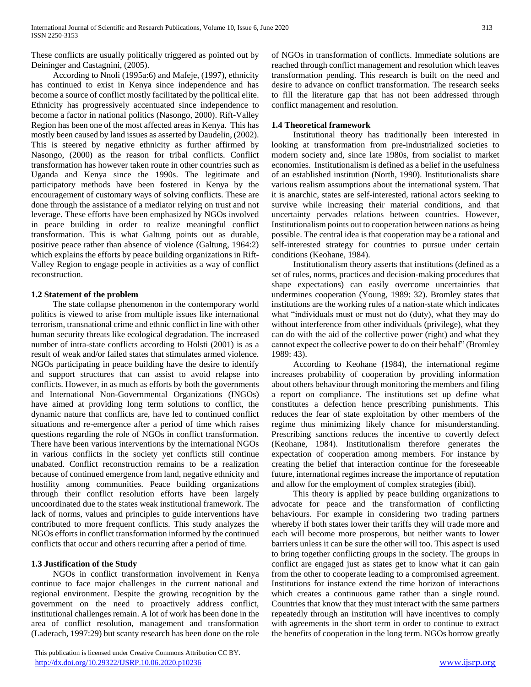These conflicts are usually politically triggered as pointed out by Deininger and Castagnini, (2005).

 According to Nnoli (1995a:6) and Mafeje, (1997), ethnicity has continued to exist in Kenya since independence and has become a source of conflict mostly facilitated by the political elite. Ethnicity has progressively accentuated since independence to become a factor in national politics (Nasongo, 2000). Rift-Valley Region has been one of the most affected areas in Kenya. This has mostly been caused by land issues as asserted by Daudelin, (2002). This is steered by negative ethnicity as further affirmed by Nasongo, (2000) as the reason for tribal conflicts. Conflict transformation has however taken route in other countries such as Uganda and Kenya since the 1990s. The legitimate and participatory methods have been fostered in Kenya by the encouragement of customary ways of solving conflicts. These are done through the assistance of a mediator relying on trust and not leverage. These efforts have been emphasized by NGOs involved in peace building in order to realize meaningful conflict transformation. This is what Galtung points out as durable, positive peace rather than absence of violence (Galtung, 1964:2) which explains the efforts by peace building organizations in Rift-Valley Region to engage people in activities as a way of conflict reconstruction.

## **1.2 Statement of the problem**

 The state collapse phenomenon in the contemporary world politics is viewed to arise from multiple issues like international terrorism, transnational crime and ethnic conflict in line with other human security threats like ecological degradation. The increased number of intra-state conflicts according to Holsti (2001) is as a result of weak and/or failed states that stimulates armed violence. NGOs participating in peace building have the desire to identify and support structures that can assist to avoid relapse into conflicts. However, in as much as efforts by both the governments and International Non-Governmental Organizations (INGOs) have aimed at providing long term solutions to conflict, the dynamic nature that conflicts are, have led to continued conflict situations and re-emergence after a period of time which raises questions regarding the role of NGOs in conflict transformation. There have been various interventions by the international NGOs in various conflicts in the society yet conflicts still continue unabated. Conflict reconstruction remains to be a realization because of continued emergence from land, negative ethnicity and hostility among communities. Peace building organizations through their conflict resolution efforts have been largely uncoordinated due to the states weak institutional framework. The lack of norms, values and principles to guide interventions have contributed to more frequent conflicts. This study analyzes the NGOs efforts in conflict transformation informed by the continued conflicts that occur and others recurring after a period of time.

# **1.3 Justification of the Study**

 NGOs in conflict transformation involvement in Kenya continue to face major challenges in the current national and regional environment. Despite the growing recognition by the government on the need to proactively address conflict, institutional challenges remain. A lot of work has been done in the area of conflict resolution, management and transformation (Laderach, 1997:29) but scanty research has been done on the role

 This publication is licensed under Creative Commons Attribution CC BY. <http://dx.doi.org/10.29322/IJSRP.10.06.2020.p10236> [www.ijsrp.org](http://ijsrp.org/)

of NGOs in transformation of conflicts. Immediate solutions are reached through conflict management and resolution which leaves transformation pending. This research is built on the need and desire to advance on conflict transformation. The research seeks to fill the literature gap that has not been addressed through conflict management and resolution.

## **1.4 Theoretical framework**

 Institutional theory has traditionally been interested in looking at transformation from pre-industrialized societies to modern society and, since late 1980s, from socialist to market economies. Institutionalism is defined as a belief in the usefulness of an established institution (North, 1990). Institutionalists share various realism assumptions about the international system. That it is anarchic, states are self-interested, rational actors seeking to survive while increasing their material conditions, and that uncertainty pervades relations between countries. However, Institutionalism points out to cooperation between nations as being possible. The central idea is that cooperation may be a rational and self-interested strategy for countries to pursue under certain conditions (Keohane, 1984).

 Institutionalism theory asserts that institutions (defined as a set of rules, norms, practices and decision-making procedures that shape expectations) can easily overcome uncertainties that undermines cooperation (Young, 1989: 32). Bromley states that institutions are the working rules of a nation-state which indicates what "individuals must or must not do (duty), what they may do without interference from other individuals (privilege), what they can do with the aid of the collective power (right) and what they cannot expect the collective power to do on their behalf" (Bromley 1989: 43).

 According to Keohane (1984), the international regime increases probability of cooperation by providing information about others behaviour through monitoring the members and filing a report on compliance. The institutions set up define what constitutes a defection hence prescribing punishments. This reduces the fear of state exploitation by other members of the regime thus minimizing likely chance for misunderstanding. Prescribing sanctions reduces the incentive to covertly defect (Keohane, 1984). Institutionalism therefore generates the expectation of cooperation among members. For instance by creating the belief that interaction continue for the foreseeable future, international regimes increase the importance of reputation and allow for the employment of complex strategies (ibid).

 This theory is applied by peace building organizations to advocate for peace and the transformation of conflicting behaviours. For example in considering two trading partners whereby if both states lower their tariffs they will trade more and each will become more prosperous, but neither wants to lower barriers unless it can be sure the other will too. This aspect is used to bring together conflicting groups in the society. The groups in conflict are engaged just as states get to know what it can gain from the other to cooperate leading to a compromised agreement. Institutions for instance extend the time horizon of interactions which creates a continuous game rather than a single round. Countries that know that they must interact with the same partners repeatedly through an institution will have incentives to comply with agreements in the short term in order to continue to extract the benefits of cooperation in the long term. NGOs borrow greatly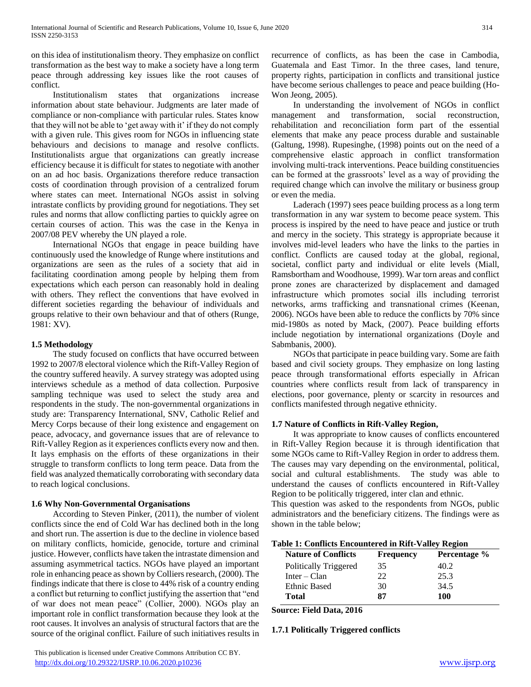on this idea of institutionalism theory. They emphasize on conflict transformation as the best way to make a society have a long term peace through addressing key issues like the root causes of conflict.

 Institutionalism states that organizations increase information about state behaviour. Judgments are later made of compliance or non-compliance with particular rules. States know that they will not be able to 'get away with it' if they do not comply with a given rule. This gives room for NGOs in influencing state behaviours and decisions to manage and resolve conflicts. Institutionalists argue that organizations can greatly increase efficiency because it is difficult for states to negotiate with another on an ad hoc basis. Organizations therefore reduce transaction costs of coordination through provision of a centralized forum where states can meet. International NGOs assist in solving intrastate conflicts by providing ground for negotiations. They set rules and norms that allow conflicting parties to quickly agree on certain courses of action. This was the case in the Kenya in 2007/08 PEV whereby the UN played a role.

 International NGOs that engage in peace building have continuously used the knowledge of Runge where institutions and organizations are seen as the rules of a society that aid in facilitating coordination among people by helping them from expectations which each person can reasonably hold in dealing with others. They reflect the conventions that have evolved in different societies regarding the behaviour of individuals and groups relative to their own behaviour and that of others (Runge, 1981: XV).

## **1.5 Methodology**

 The study focused on conflicts that have occurred between 1992 to 2007/8 electoral violence which the Rift-Valley Region of the country suffered heavily. A survey strategy was adopted using interviews schedule as a method of data collection. Purposive sampling technique was used to select the study area and respondents in the study. The non-governmental organizations in study are: Transparency International, SNV, Catholic Relief and Mercy Corps because of their long existence and engagement on peace, advocacy, and governance issues that are of relevance to Rift-Valley Region as it experiences conflicts every now and then. It lays emphasis on the efforts of these organizations in their struggle to transform conflicts to long term peace. Data from the field was analyzed thematically corroborating with secondary data to reach logical conclusions.

# **1.6 Why Non-Governmental Organisations**

 According to Steven Pinker, (2011), the number of violent conflicts since the end of Cold War has declined both in the long and short run. The assertion is due to the decline in violence based on military conflicts, homicide, genocide, torture and criminal justice. However, conflicts have taken the intrastate dimension and assuming asymmetrical tactics. NGOs have played an important role in enhancing peace as shown by Colliers research, (2000). The findings indicate that there is close to 44% risk of a country ending a conflict but returning to conflict justifying the assertion that "end of war does not mean peace" (Collier, 2000). NGOs play an important role in conflict transformation because they look at the root causes. It involves an analysis of structural factors that are the source of the original conflict. Failure of such initiatives results in

 This publication is licensed under Creative Commons Attribution CC BY. <http://dx.doi.org/10.29322/IJSRP.10.06.2020.p10236> [www.ijsrp.org](http://ijsrp.org/)

recurrence of conflicts, as has been the case in Cambodia, Guatemala and East Timor. In the three cases, land tenure, property rights, participation in conflicts and transitional justice have become serious challenges to peace and peace building (Ho-Won Jeong, 2005).

 In understanding the involvement of NGOs in conflict management and transformation, social reconstruction, rehabilitation and reconciliation form part of the essential elements that make any peace process durable and sustainable (Galtung, 1998). Rupesinghe, (1998) points out on the need of a comprehensive elastic approach in conflict transformation involving multi-track interventions. Peace building constituencies can be formed at the grassroots' level as a way of providing the required change which can involve the military or business group or even the media.

 Laderach (1997) sees peace building process as a long term transformation in any war system to become peace system. This process is inspired by the need to have peace and justice or truth and mercy in the society. This strategy is appropriate because it involves mid-level leaders who have the links to the parties in conflict. Conflicts are caused today at the global, regional, societal, conflict party and individual or elite levels (Miall, Ramsbortham and Woodhouse, 1999). War torn areas and conflict prone zones are characterized by displacement and damaged infrastructure which promotes social ills including terrorist networks, arms trafficking and transnational crimes (Keenan, 2006). NGOs have been able to reduce the conflicts by 70% since mid-1980s as noted by Mack, (2007). Peace building efforts include negotiation by international organizations (Doyle and Sabmbanis, 2000).

 NGOs that participate in peace building vary. Some are faith based and civil society groups. They emphasize on long lasting peace through transformational efforts especially in African countries where conflicts result from lack of transparency in elections, poor governance, plenty or scarcity in resources and conflicts manifested through negative ethnicity.

# **1.7 Nature of Conflicts in Rift-Valley Region,**

 It was appropriate to know causes of conflicts encountered in Rift-Valley Region because it is through identification that some NGOs came to Rift-Valley Region in order to address them. The causes may vary depending on the environmental, political, social and cultural establishments. The study was able to understand the causes of conflicts encountered in Rift-Valley Region to be politically triggered, inter clan and ethnic.

This question was asked to the respondents from NGOs, public administrators and the beneficiary citizens. The findings were as shown in the table below;

| <b>Table 1: Conflicts Encountered in Rift-Valley Region</b> |                                                                       |                               |
|-------------------------------------------------------------|-----------------------------------------------------------------------|-------------------------------|
| Noture of Conflicts                                         | $\Gamma$ <sub>no</sub> $\alpha$ <sub>no</sub> n $\alpha$ <sub>y</sub> | $D$ <sub>a</sub> nontago $0/$ |

| <b>Nature of Conflicts</b> | <b>Frequency</b> | Percentage % |
|----------------------------|------------------|--------------|
| Politically Triggered      | 35               | 40.2         |
| $Inter - Clan$             | 22               | 25.3         |
| <b>Ethnic Based</b>        | 30               | 34.5         |
| Total                      | 87               | 100          |

**Source: Field Data, 2016**

**1.7.1 Politically Triggered conflicts**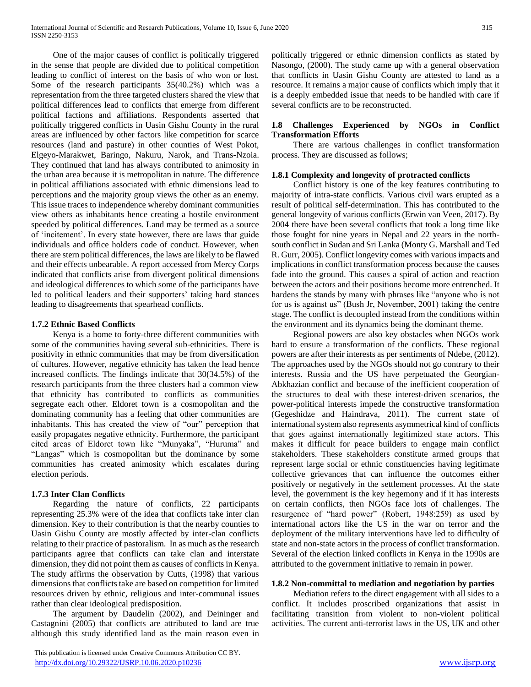One of the major causes of conflict is politically triggered in the sense that people are divided due to political competition leading to conflict of interest on the basis of who won or lost. Some of the research participants 35(40.2%) which was a representation from the three targeted clusters shared the view that political differences lead to conflicts that emerge from different political factions and affiliations. Respondents asserted that politically triggered conflicts in Uasin Gishu County in the rural areas are influenced by other factors like competition for scarce resources (land and pasture) in other counties of West Pokot, Elgeyo-Marakwet, Baringo, Nakuru, Narok, and Trans-Nzoia. They continued that land has always contributed to animosity in the urban area because it is metropolitan in nature. The difference in political affiliations associated with ethnic dimensions lead to perceptions and the majority group views the other as an enemy. This issue traces to independence whereby dominant communities view others as inhabitants hence creating a hostile environment speeded by political differences. Land may be termed as a source of 'incitement'. In every state however, there are laws that guide individuals and office holders code of conduct. However, when there are stern political differences, the laws are likely to be flawed and their effects unbearable. A report accessed from Mercy Corps indicated that conflicts arise from divergent political dimensions and ideological differences to which some of the participants have led to political leaders and their supporters' taking hard stances leading to disagreements that spearhead conflicts.

## **1.7.2 Ethnic Based Conflicts**

 Kenya is a home to forty-three different communities with some of the communities having several sub-ethnicities. There is positivity in ethnic communities that may be from diversification of cultures. However, negative ethnicity has taken the lead hence increased conflicts. The findings indicate that 30(34.5%) of the research participants from the three clusters had a common view that ethnicity has contributed to conflicts as communities segregate each other. Eldoret town is a cosmopolitan and the dominating community has a feeling that other communities are inhabitants. This has created the view of "our" perception that easily propagates negative ethnicity. Furthermore, the participant cited areas of Eldoret town like "Munyaka", "Huruma" and "Langas" which is cosmopolitan but the dominance by some communities has created animosity which escalates during election periods.

# **1.7.3 Inter Clan Conflicts**

 Regarding the nature of conflicts, 22 participants representing 25.3% were of the idea that conflicts take inter clan dimension. Key to their contribution is that the nearby counties to Uasin Gishu County are mostly affected by inter-clan conflicts relating to their practice of pastoralism. In as much as the research participants agree that conflicts can take clan and interstate dimension, they did not point them as causes of conflicts in Kenya. The study affirms the observation by Cutts, (1998) that various dimensions that conflicts take are based on competition for limited resources driven by ethnic, religious and inter-communal issues rather than clear ideological predisposition.

 The argument by Daudelin (2002), and Deininger and Castagnini (2005) that conflicts are attributed to land are true although this study identified land as the main reason even in

 This publication is licensed under Creative Commons Attribution CC BY. <http://dx.doi.org/10.29322/IJSRP.10.06.2020.p10236> [www.ijsrp.org](http://ijsrp.org/)

politically triggered or ethnic dimension conflicts as stated by Nasongo, (2000). The study came up with a general observation that conflicts in Uasin Gishu County are attested to land as a resource. It remains a major cause of conflicts which imply that it is a deeply embedded issue that needs to be handled with care if several conflicts are to be reconstructed.

## **1.8 Challenges Experienced by NGOs in Conflict Transformation Efforts**

 There are various challenges in conflict transformation process. They are discussed as follows;

## **1.8.1 Complexity and longevity of protracted conflicts**

 Conflict history is one of the key features contributing to majority of intra-state conflicts. Various civil wars erupted as a result of political self-determination. This has contributed to the general longevity of various conflicts (Erwin van Veen, 2017). By 2004 there have been several conflicts that took a long time like those fought for nine years in Nepal and 22 years in the northsouth conflict in Sudan and Sri Lanka (Monty G. Marshall and Ted R. Gurr, 2005). Conflict longevity comes with various impacts and implications in conflict transformation process because the causes fade into the ground. This causes a spiral of action and reaction between the actors and their positions become more entrenched. It hardens the stands by many with phrases like "anyone who is not for us is against us" (Bush Jr, November, 2001) taking the centre stage. The conflict is decoupled instead from the conditions within the environment and its dynamics being the dominant theme.

 Regional powers are also key obstacles when NGOs work hard to ensure a transformation of the conflicts. These regional powers are after their interests as per sentiments of Ndebe, (2012). The approaches used by the NGOs should not go contrary to their interests. Russia and the US have perpetuated the Georgian-Abkhazian conflict and because of the inefficient cooperation of the structures to deal with these interest-driven scenarios, the power-political interests impede the constructive transformation (Gegeshidze and Haindrava, 2011). The current state of international system also represents asymmetrical kind of conflicts that goes against internationally legitimized state actors. This makes it difficult for peace builders to engage main conflict stakeholders. These stakeholders constitute armed groups that represent large social or ethnic constituencies having legitimate collective grievances that can influence the outcomes either positively or negatively in the settlement processes. At the state level, the government is the key hegemony and if it has interests on certain conflicts, then NGOs face lots of challenges. The resurgence of "hard power" (Robert, 1948:259) as used by international actors like the US in the war on terror and the deployment of the military interventions have led to difficulty of state and non-state actors in the process of conflict transformation. Several of the election linked conflicts in Kenya in the 1990s are attributed to the government initiative to remain in power.

## **1.8.2 Non-committal to mediation and negotiation by parties**

 Mediation refers to the direct engagement with all sides to a conflict. It includes proscribed organizations that assist in facilitating transition from violent to non-violent political activities. The current anti-terrorist laws in the US, UK and other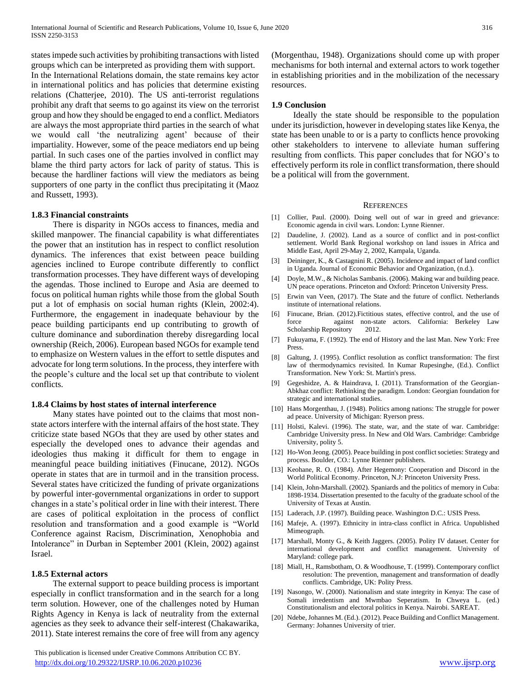states impede such activities by prohibiting transactions with listed groups which can be interpreted as providing them with support. In the International Relations domain, the state remains key actor in international politics and has policies that determine existing relations (Chatterjee, 2010). The US anti-terrorist regulations prohibit any draft that seems to go against its view on the terrorist group and how they should be engaged to end a conflict. Mediators are always the most appropriate third parties in the search of what we would call 'the neutralizing agent' because of their impartiality. However, some of the peace mediators end up being partial. In such cases one of the parties involved in conflict may blame the third party actors for lack of parity of status. This is because the hardliner factions will view the mediators as being supporters of one party in the conflict thus precipitating it (Maoz and Russett, 1993).

### **1.8.3 Financial constraints**

 There is disparity in NGOs access to finances, media and skilled manpower. The financial capability is what differentiates the power that an institution has in respect to conflict resolution dynamics. The inferences that exist between peace building agencies inclined to Europe contribute differently to conflict transformation processes. They have different ways of developing the agendas. Those inclined to Europe and Asia are deemed to focus on political human rights while those from the global South put a lot of emphasis on social human rights (Klein, 2002:4). Furthermore, the engagement in inadequate behaviour by the peace building participants end up contributing to growth of culture dominance and subordination thereby disregarding local ownership (Reich, 2006). European based NGOs for example tend to emphasize on Western values in the effort to settle disputes and advocate for long term solutions. In the process, they interfere with the people's culture and the local set up that contribute to violent conflicts.

#### **1.8.4 Claims by host states of internal interference**

 Many states have pointed out to the claims that most nonstate actors interfere with the internal affairs of the host state. They criticize state based NGOs that they are used by other states and especially the developed ones to advance their agendas and ideologies thus making it difficult for them to engage in meaningful peace building initiatives (Finucane, 2012). NGOs operate in states that are in turmoil and in the transition process. Several states have criticized the funding of private organizations by powerful inter-governmental organizations in order to support changes in a state's political order in line with their interest. There are cases of political exploitation in the process of conflict resolution and transformation and a good example is "World Conference against Racism, Discrimination, Xenophobia and Intolerance" in Durban in September 2001 (Klein, 2002) against Israel.

#### **1.8.5 External actors**

 The external support to peace building process is important especially in conflict transformation and in the search for a long term solution. However, one of the challenges noted by Human Rights Agency in Kenya is lack of neutrality from the external agencies as they seek to advance their self-interest (Chakawarika, 2011). State interest remains the core of free will from any agency

 This publication is licensed under Creative Commons Attribution CC BY. <http://dx.doi.org/10.29322/IJSRP.10.06.2020.p10236> [www.ijsrp.org](http://ijsrp.org/)

(Morgenthau, 1948). Organizations should come up with proper mechanisms for both internal and external actors to work together in establishing priorities and in the mobilization of the necessary resources.

#### **1.9 Conclusion**

 Ideally the state should be responsible to the population under its jurisdiction, however in developing states like Kenya, the state has been unable to or is a party to conflicts hence provoking other stakeholders to intervene to alleviate human suffering resulting from conflicts. This paper concludes that for NGO's to effectively perform its role in conflict transformation, there should be a political will from the government.

#### **REFERENCES**

- [1] Collier, Paul. (2000). Doing well out of war in greed and grievance: Economic agenda in civil wars. London: Lynne Rienner.
- [2] Daudeline, J. (2002). Land as a source of conflict and in post-conflict settlement. World Bank Regional workshop on land issues in Africa and Middle East, April 29-May 2, 2002, Kampala, Uganda.
- [3] Deininger, K., & Castagnini R. (2005). Incidence and impact of land conflict in Uganda. Journal of Economic Behavior and Organization, (n.d.).
- [4] Doyle, M.W., & Nicholas Sambanis. (2006). Making war and building peace. UN peace operations. Princeton and Oxford: Princeton University Press.
- [5] Erwin van Veen, (2017). The State and the future of conflict. Netherlands institute of international relations.
- [6] Finucane, Brian. (2012).Fictitious states, effective control, and the use of force against non-state actors. California: Berkeley Law Scholarship Repository 2012.
- [7] Fukuyama, F. (1992). The end of History and the last Man. New York: Free Press.
- [8] Galtung, J. (1995). Conflict resolution as conflict transformation: The first law of thermodynamics revisited. In Kumar Rupesinghe, (Ed.). Conflict Transformation. New York: St. Martin's press.
- [9] Gegeshidze, A. & Haindrava, I. (2011). Transformation of the Georgian-Abkhaz conflict: Rethinking the paradigm. London: Georgian foundation for strategic and international studies.
- [10] Hans Morgenthau, J. (1948). Politics among nations: The struggle for power ad peace. University of Michigan: Ryerson press.
- [11] Holsti, Kalevi. (1996). The state, war, and the state of war. Cambridge: Cambridge University press. In New and Old Wars. Cambridge: Cambridge University, polity 5.
- [12] Ho-Won Jeong. (2005). Peace building in post conflict societies: Strategy and process. Boulder, CO.: Lynne Rienner publishers.
- [13] Keohane, R. O. (1984). After Hegemony: Cooperation and Discord in the World Political Economy. Princeton, N.J: Princeton University Press.
- [14] Klein, John-Marshall. (2002). Spaniards and the politics of memory in Cuba: 1898-1934. Dissertation presented to the faculty of the graduate school of the University of Texas at Austin.
- [15] Laderach, J.P. (1997). Building peace. Washington D.C.: USIS Press.
- [16] Mafeje, A. (1997). Ethnicity in intra-class conflict in Africa. Unpublished Mimeograph.
- [17] Marshall, Monty G., & Keith Jaggers. (2005). Polity IV dataset. Center for international development and conflict management. University of Maryland: college park.
- [18] Miall, H., Ramsbotham, O. & Woodhouse, T. (1999). Contemporary conflict resolution: The prevention, management and transformation of deadly conflicts. Cambridge, UK: Polity Press.
- [19] Nasongo, W. (2000). Nationalism and state integrity in Kenya: The case of Somali irredentism and Mwmbao Seperatism. In Chweya L. (ed.) Constitutionalism and electoral politics in Kenya. Nairobi. SAREAT.
- [20] Ndebe, Johannes M. (Ed.). (2012). Peace Building and Conflict Management. Germany: Johannes University of trier.